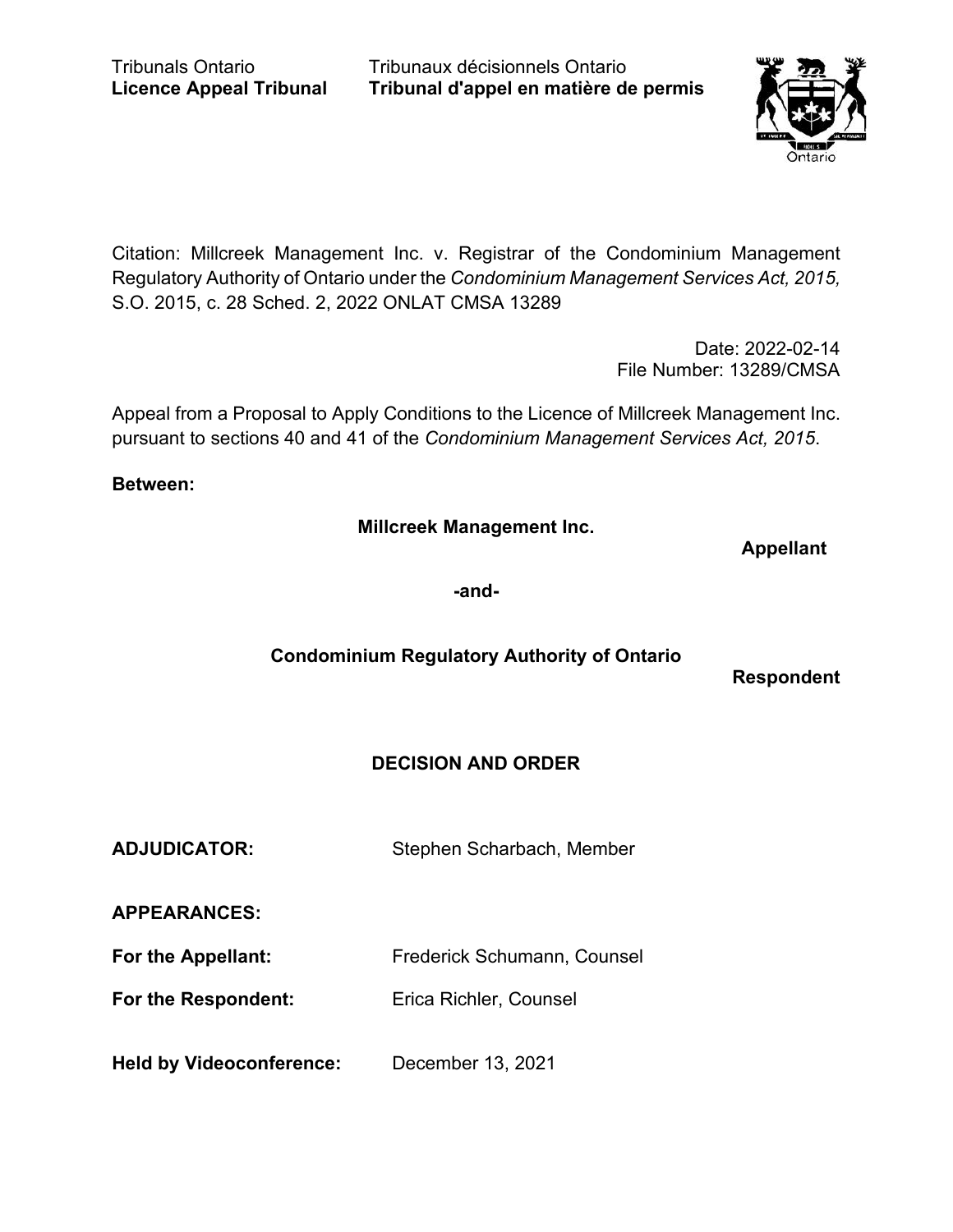Tribunaux décisionnels Ontario **Tribunal d'appel en matière de permis**



Citation: Millcreek Management Inc. v. Registrar of the Condominium Management Regulatory Authority of Ontario under the *Condominium Management Services Act, 2015,* S.O. 2015, c. 28 Sched. 2, 2022 ONLAT CMSA 13289

> Date: 2022-02-14 File Number: 13289/CMSA

Appeal from a Proposal to Apply Conditions to the Licence of Millcreek Management Inc. pursuant to sections 40 and 41 of the *Condominium Management Services Act, 2015*.

#### **Between:**

**Millcreek Management Inc.**

**Appellant**

**-and-**

# **Condominium Regulatory Authority of Ontario**

**Respondent**

# **DECISION AND ORDER**

**ADJUDICATOR:** Stephen Scharbach, Member

**APPEARANCES:**

**For the Appellant:** Frederick Schumann, Counsel

**For the Respondent:** Erica Richler, Counsel

**Held by Videoconference:** December 13, 2021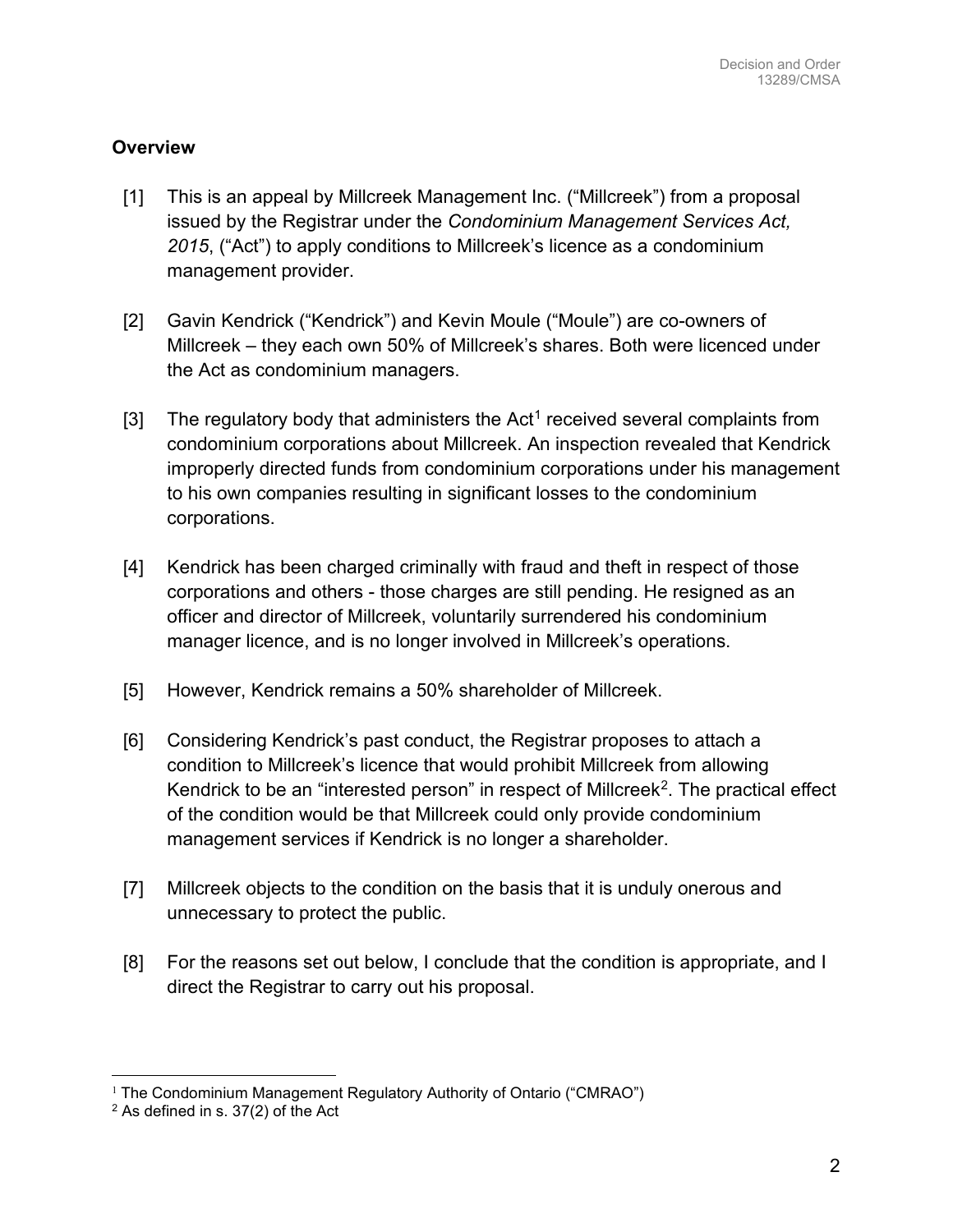### **Overview**

- [1] This is an appeal by Millcreek Management Inc. ("Millcreek") from a proposal issued by the Registrar under the *Condominium Management Services Act, 2015*, ("Act") to apply conditions to Millcreek's licence as a condominium management provider.
- [2] Gavin Kendrick ("Kendrick") and Kevin Moule ("Moule") are co-owners of Millcreek – they each own 50% of Millcreek's shares. Both were licenced under the Act as condominium managers.
- [3] The regulatory body that administers the Act<sup>1</sup> received several complaints from condominium corporations about Millcreek. An inspection revealed that Kendrick improperly directed funds from condominium corporations under his management to his own companies resulting in significant losses to the condominium corporations.
- [4] Kendrick has been charged criminally with fraud and theft in respect of those corporations and others - those charges are still pending. He resigned as an officer and director of Millcreek, voluntarily surrendered his condominium manager licence, and is no longer involved in Millcreek's operations.
- [5] However, Kendrick remains a 50% shareholder of Millcreek.
- [6] Considering Kendrick's past conduct, the Registrar proposes to attach a condition to Millcreek's licence that would prohibit Millcreek from allowing Kendrick to be an "interested person" in respect of Millcreek<sup>2</sup>. The practical effect of the condition would be that Millcreek could only provide condominium management services if Kendrick is no longer a shareholder.
- [7] Millcreek objects to the condition on the basis that it is unduly onerous and unnecessary to protect the public.
- [8] For the reasons set out below, I conclude that the condition is appropriate, and I direct the Registrar to carry out his proposal.

 $1$  The Condominium Management Regulatory Authority of Ontario ("CMRAO")

 $2$  As defined in s. 37(2) of the Act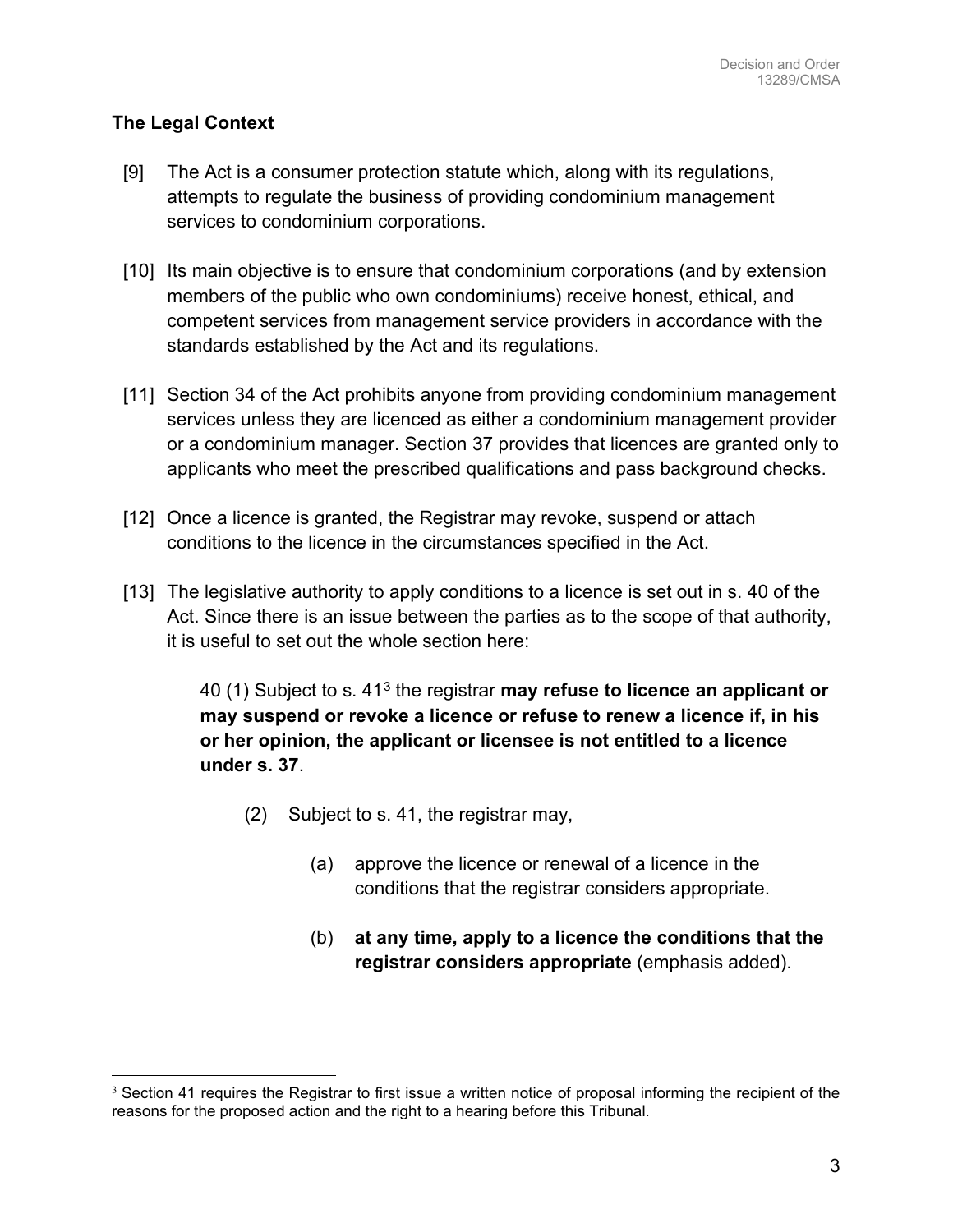### **The Legal Context**

- [9] The Act is a consumer protection statute which, along with its regulations, attempts to regulate the business of providing condominium management services to condominium corporations.
- [10] Its main objective is to ensure that condominium corporations (and by extension members of the public who own condominiums) receive honest, ethical, and competent services from management service providers in accordance with the standards established by the Act and its regulations.
- [11] Section 34 of the Act prohibits anyone from providing condominium management services unless they are licenced as either a condominium management provider or a condominium manager. Section 37 provides that licences are granted only to applicants who meet the prescribed qualifications and pass background checks.
- [12] Once a licence is granted, the Registrar may revoke, suspend or attach conditions to the licence in the circumstances specified in the Act.
- [13] The legislative authority to apply conditions to a licence is set out in s. 40 of the Act. Since there is an issue between the parties as to the scope of that authority, it is useful to set out the whole section here:

40 (1) Subject to s. 413 the registrar **may refuse to licence an applicant or may suspend or revoke a licence or refuse to renew a licence if, in his or her opinion, the applicant or licensee is not entitled to a licence under s. 37**.

- (2) Subject to s. 41, the registrar may,
	- (a) approve the licence or renewal of a licence in the conditions that the registrar considers appropriate.
	- (b) **at any time, apply to a licence the conditions that the registrar considers appropriate** (emphasis added).

 $3$  Section 41 requires the Registrar to first issue a written notice of proposal informing the recipient of the reasons for the proposed action and the right to a hearing before this Tribunal.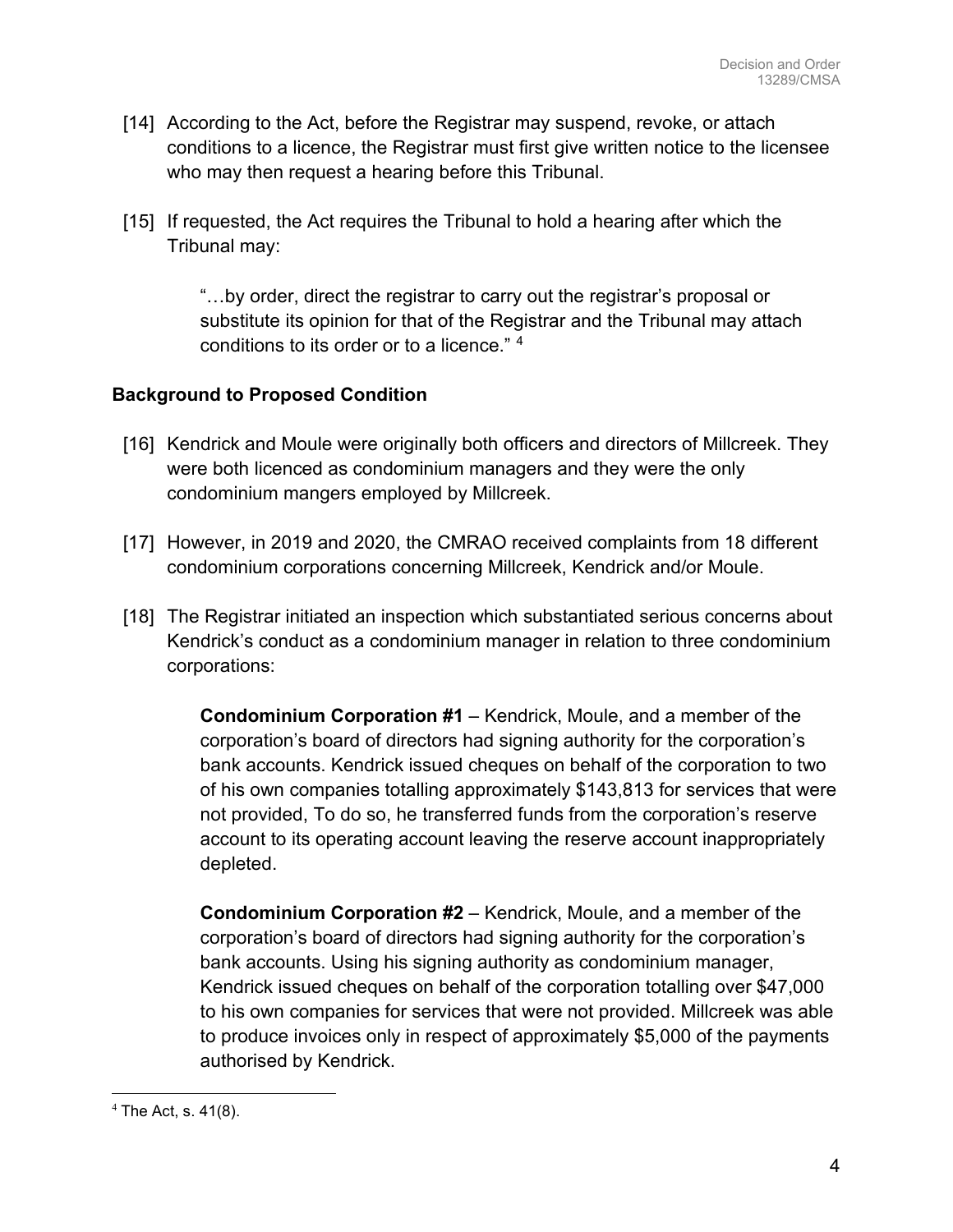- [14] According to the Act, before the Registrar may suspend, revoke, or attach conditions to a licence, the Registrar must first give written notice to the licensee who may then request a hearing before this Tribunal.
- [15] If requested, the Act requires the Tribunal to hold a hearing after which the Tribunal may:

"…by order, direct the registrar to carry out the registrar's proposal or substitute its opinion for that of the Registrar and the Tribunal may attach conditions to its order or to a licence." 4

### **Background to Proposed Condition**

- [16] Kendrick and Moule were originally both officers and directors of Millcreek. They were both licenced as condominium managers and they were the only condominium mangers employed by Millcreek.
- [17] However, in 2019 and 2020, the CMRAO received complaints from 18 different condominium corporations concerning Millcreek, Kendrick and/or Moule.
- [18] The Registrar initiated an inspection which substantiated serious concerns about Kendrick's conduct as a condominium manager in relation to three condominium corporations:

**Condominium Corporation #1** – Kendrick, Moule, and a member of the corporation's board of directors had signing authority for the corporation's bank accounts. Kendrick issued cheques on behalf of the corporation to two of his own companies totalling approximately \$143,813 for services that were not provided, To do so, he transferred funds from the corporation's reserve account to its operating account leaving the reserve account inappropriately depleted.

**Condominium Corporation #2** – Kendrick, Moule, and a member of the corporation's board of directors had signing authority for the corporation's bank accounts. Using his signing authority as condominium manager, Kendrick issued cheques on behalf of the corporation totalling over \$47,000 to his own companies for services that were not provided. Millcreek was able to produce invoices only in respect of approximately \$5,000 of the payments authorised by Kendrick.

 $4$  The Act, s. 41(8).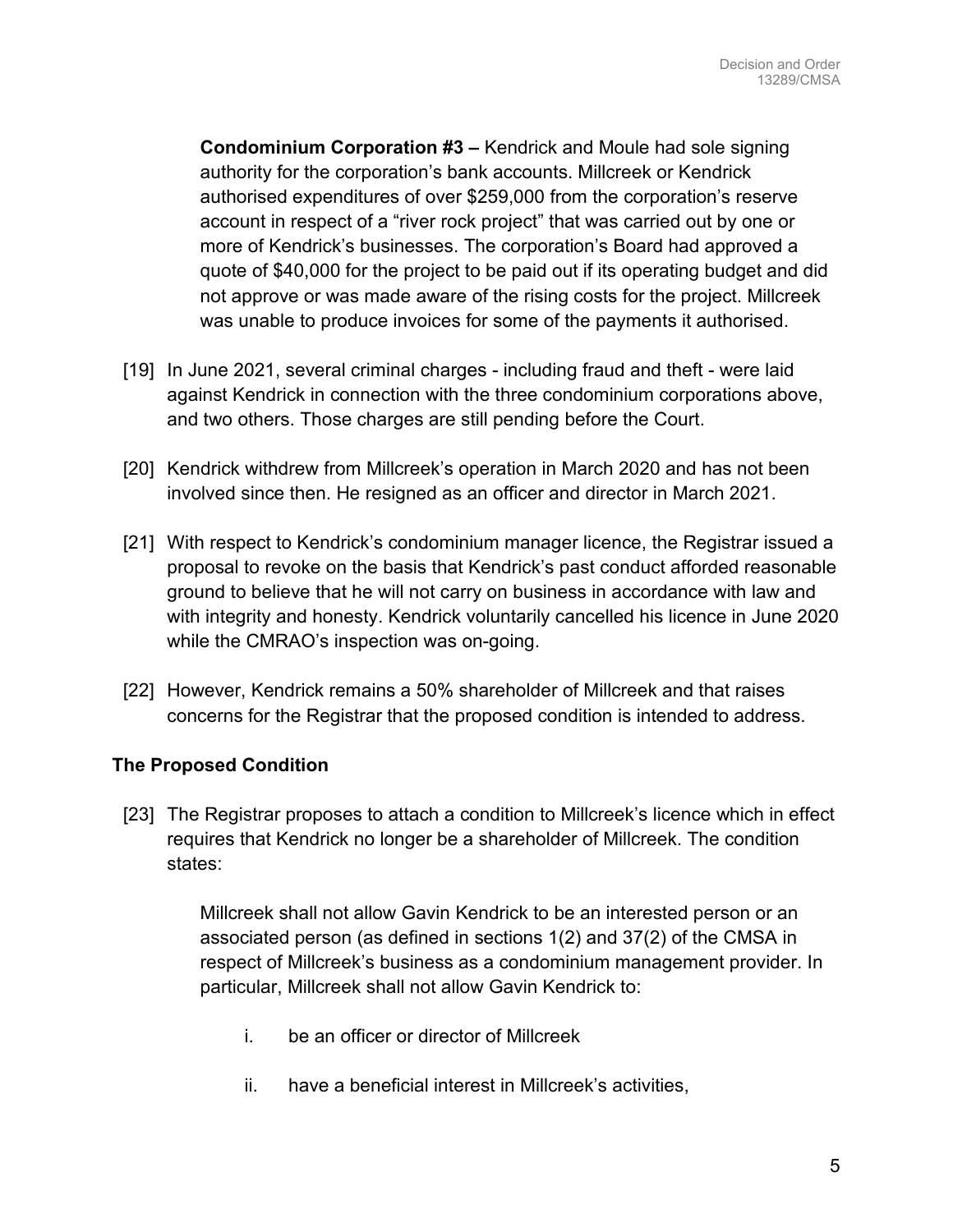**Condominium Corporation #3 –** Kendrick and Moule had sole signing authority for the corporation's bank accounts. Millcreek or Kendrick authorised expenditures of over \$259,000 from the corporation's reserve account in respect of a "river rock project" that was carried out by one or more of Kendrick's businesses. The corporation's Board had approved a quote of \$40,000 for the project to be paid out if its operating budget and did not approve or was made aware of the rising costs for the project. Millcreek was unable to produce invoices for some of the payments it authorised.

- [19] In June 2021, several criminal charges including fraud and theft were laid against Kendrick in connection with the three condominium corporations above, and two others. Those charges are still pending before the Court.
- [20] Kendrick withdrew from Millcreek's operation in March 2020 and has not been involved since then. He resigned as an officer and director in March 2021.
- [21] With respect to Kendrick's condominium manager licence, the Registrar issued a proposal to revoke on the basis that Kendrick's past conduct afforded reasonable ground to believe that he will not carry on business in accordance with law and with integrity and honesty. Kendrick voluntarily cancelled his licence in June 2020 while the CMRAO's inspection was on-going.
- [22] However, Kendrick remains a 50% shareholder of Millcreek and that raises concerns for the Registrar that the proposed condition is intended to address.

### **The Proposed Condition**

[23] The Registrar proposes to attach a condition to Millcreek's licence which in effect requires that Kendrick no longer be a shareholder of Millcreek. The condition states:

> Millcreek shall not allow Gavin Kendrick to be an interested person or an associated person (as defined in sections 1(2) and 37(2) of the CMSA in respect of Millcreek's business as a condominium management provider. In particular, Millcreek shall not allow Gavin Kendrick to:

- i. be an officer or director of Millcreek
- ii. have a beneficial interest in Millcreek's activities,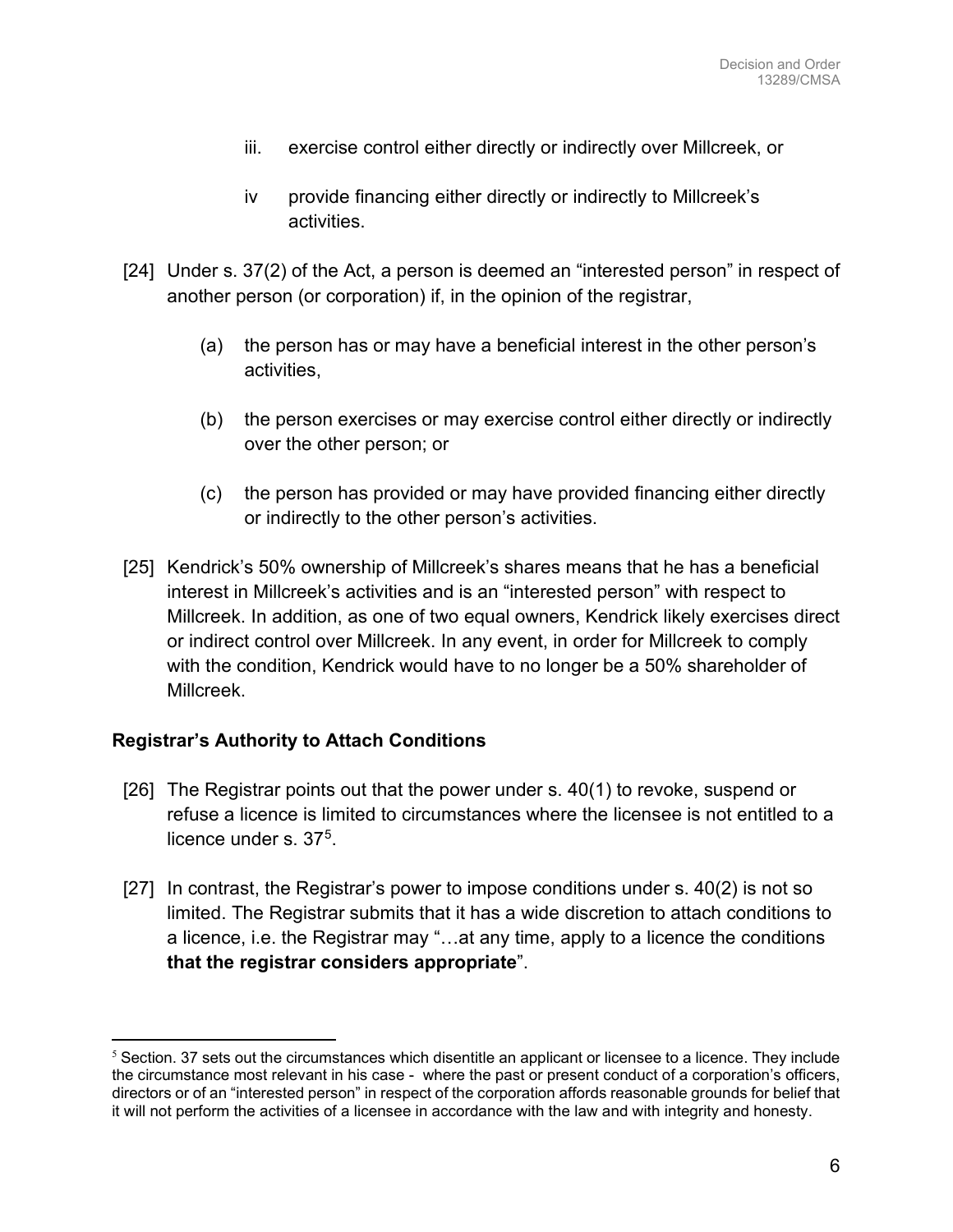- iii. exercise control either directly or indirectly over Millcreek, or
- iv provide financing either directly or indirectly to Millcreek's activities.
- [24] Under s. 37(2) of the Act, a person is deemed an "interested person" in respect of another person (or corporation) if, in the opinion of the registrar,
	- (a) the person has or may have a beneficial interest in the other person's activities,
	- (b) the person exercises or may exercise control either directly or indirectly over the other person; or
	- (c) the person has provided or may have provided financing either directly or indirectly to the other person's activities.
- [25] Kendrick's 50% ownership of Millcreek's shares means that he has a beneficial interest in Millcreek's activities and is an "interested person" with respect to Millcreek. In addition, as one of two equal owners, Kendrick likely exercises direct or indirect control over Millcreek. In any event, in order for Millcreek to comply with the condition, Kendrick would have to no longer be a 50% shareholder of Millcreek.

### **Registrar's Authority to Attach Conditions**

- [26] The Registrar points out that the power under s. 40(1) to revoke, suspend or refuse a licence is limited to circumstances where the licensee is not entitled to a licence under s. 375.
- [27] In contrast, the Registrar's power to impose conditions under s. 40(2) is not so limited. The Registrar submits that it has a wide discretion to attach conditions to a licence, i.e. the Registrar may "…at any time, apply to a licence the conditions **that the registrar considers appropriate**".

 $5$  Section. 37 sets out the circumstances which disentitle an applicant or licensee to a licence. They include the circumstance most relevant in his case - where the past or present conduct of a corporation's officers, directors or of an "interested person" in respect of the corporation affords reasonable grounds for belief that it will not perform the activities of a licensee in accordance with the law and with integrity and honesty.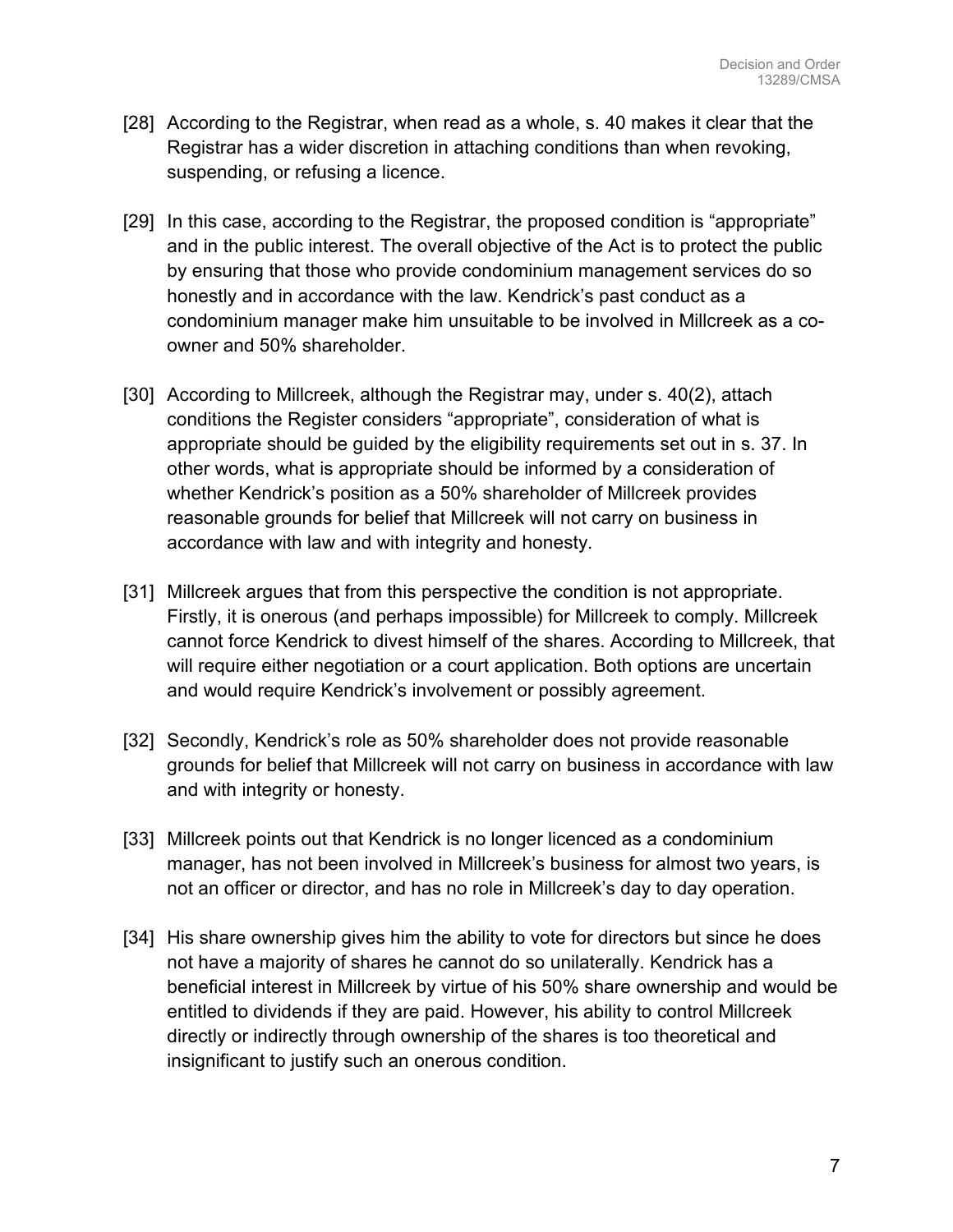- [28] According to the Registrar, when read as a whole, s. 40 makes it clear that the Registrar has a wider discretion in attaching conditions than when revoking, suspending, or refusing a licence.
- [29] In this case, according to the Registrar, the proposed condition is "appropriate" and in the public interest. The overall objective of the Act is to protect the public by ensuring that those who provide condominium management services do so honestly and in accordance with the law. Kendrick's past conduct as a condominium manager make him unsuitable to be involved in Millcreek as a coowner and 50% shareholder.
- [30] According to Millcreek, although the Registrar may, under s. 40(2), attach conditions the Register considers "appropriate", consideration of what is appropriate should be guided by the eligibility requirements set out in s. 37. In other words, what is appropriate should be informed by a consideration of whether Kendrick's position as a 50% shareholder of Millcreek provides reasonable grounds for belief that Millcreek will not carry on business in accordance with law and with integrity and honesty.
- [31] Millcreek argues that from this perspective the condition is not appropriate. Firstly, it is onerous (and perhaps impossible) for Millcreek to comply. Millcreek cannot force Kendrick to divest himself of the shares. According to Millcreek, that will require either negotiation or a court application. Both options are uncertain and would require Kendrick's involvement or possibly agreement.
- [32] Secondly, Kendrick's role as 50% shareholder does not provide reasonable grounds for belief that Millcreek will not carry on business in accordance with law and with integrity or honesty.
- [33] Millcreek points out that Kendrick is no longer licenced as a condominium manager, has not been involved in Millcreek's business for almost two years, is not an officer or director, and has no role in Millcreek's day to day operation.
- [34] His share ownership gives him the ability to vote for directors but since he does not have a majority of shares he cannot do so unilaterally. Kendrick has a beneficial interest in Millcreek by virtue of his 50% share ownership and would be entitled to dividends if they are paid. However, his ability to control Millcreek directly or indirectly through ownership of the shares is too theoretical and insignificant to justify such an onerous condition.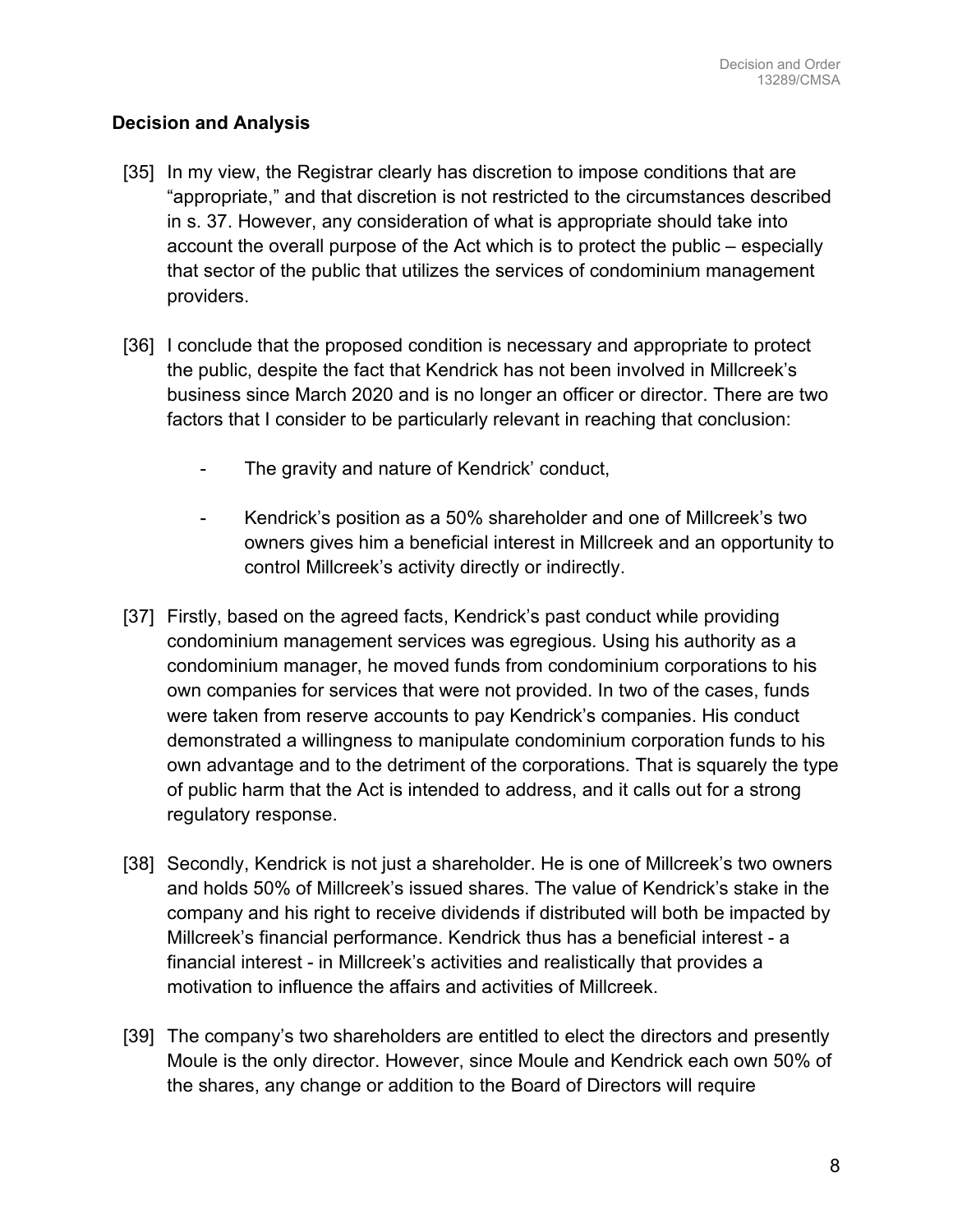### **Decision and Analysis**

- [35] In my view, the Registrar clearly has discretion to impose conditions that are "appropriate," and that discretion is not restricted to the circumstances described in s. 37. However, any consideration of what is appropriate should take into account the overall purpose of the Act which is to protect the public – especially that sector of the public that utilizes the services of condominium management providers.
- [36] I conclude that the proposed condition is necessary and appropriate to protect the public, despite the fact that Kendrick has not been involved in Millcreek's business since March 2020 and is no longer an officer or director. There are two factors that I consider to be particularly relevant in reaching that conclusion:
	- The gravity and nature of Kendrick' conduct,
	- Kendrick's position as a 50% shareholder and one of Millcreek's two owners gives him a beneficial interest in Millcreek and an opportunity to control Millcreek's activity directly or indirectly.
- [37] Firstly, based on the agreed facts, Kendrick's past conduct while providing condominium management services was egregious. Using his authority as a condominium manager, he moved funds from condominium corporations to his own companies for services that were not provided. In two of the cases, funds were taken from reserve accounts to pay Kendrick's companies. His conduct demonstrated a willingness to manipulate condominium corporation funds to his own advantage and to the detriment of the corporations. That is squarely the type of public harm that the Act is intended to address, and it calls out for a strong regulatory response.
- [38] Secondly, Kendrick is not just a shareholder. He is one of Millcreek's two owners and holds 50% of Millcreek's issued shares. The value of Kendrick's stake in the company and his right to receive dividends if distributed will both be impacted by Millcreek's financial performance. Kendrick thus has a beneficial interest - a financial interest - in Millcreek's activities and realistically that provides a motivation to influence the affairs and activities of Millcreek.
- [39] The company's two shareholders are entitled to elect the directors and presently Moule is the only director. However, since Moule and Kendrick each own 50% of the shares, any change or addition to the Board of Directors will require